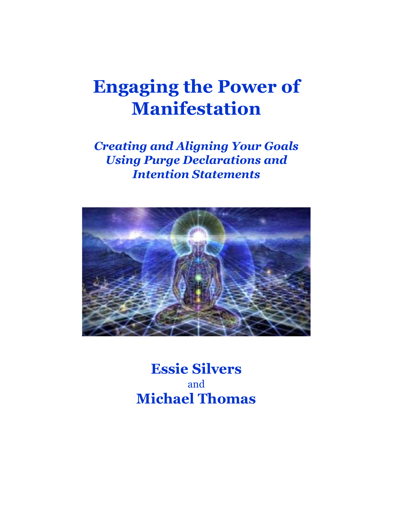# **Engaging the Power of Manifestation**

*Creating and Aligning Your Goals Using Purge Declarations and Intention Statements*



**Essie Silvers** and **Michael Thomas**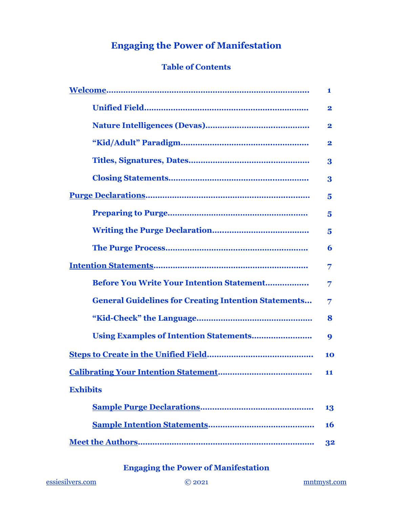### **Engaging the Power of Manifestation**

### **Table of Contents**

|                                                             | 1                       |
|-------------------------------------------------------------|-------------------------|
|                                                             | $\mathbf 2$             |
|                                                             | $\mathbf 2$             |
|                                                             | $\mathbf 2$             |
|                                                             | 3                       |
|                                                             | 3                       |
|                                                             | 5                       |
|                                                             | 5                       |
|                                                             | $\overline{\mathbf{5}}$ |
|                                                             | 6                       |
|                                                             | 7                       |
| Before You Write Your Intention Statement                   | 7                       |
| <b>General Guidelines for Creating Intention Statements</b> | 7                       |
|                                                             | 8                       |
|                                                             | 9                       |
|                                                             | 10                      |
| <b>Calibrating Your Intention Statement</b>                 | 11                      |
| <b>Exhibits</b>                                             |                         |
|                                                             | 13                      |
|                                                             | 16                      |
|                                                             | 32                      |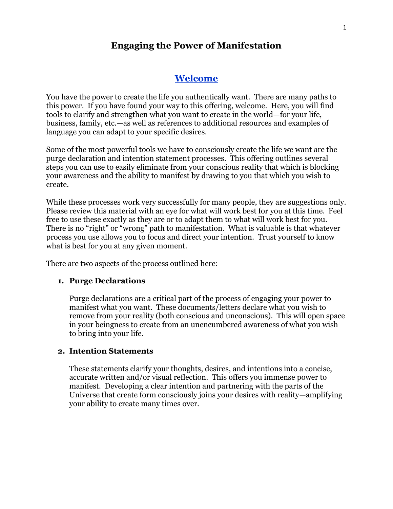### **Engaging the Power of Manifestation**

### **[Welcome](#page-2-0)**

<span id="page-2-0"></span>You have the power to create the life you authentically want. There are many paths to this power. If you have found your way to this offering, welcome. Here, you will find tools to clarify and strengthen what you want to create in the world—for your life, business, family, etc.—as well as references to additional resources and examples of language you can adapt to your specific desires.

Some of the most powerful tools we have to consciously create the life we want are the purge declaration and intention statement processes. This offering outlines several steps you can use to easily eliminate from your conscious reality that which is blocking your awareness and the ability to manifest by drawing to you that which you wish to create.

While these processes work very successfully for many people, they are suggestions only. Please review this material with an eye for what will work best for you at this time. Feel free to use these exactly as they are or to adapt them to what will work best for you. There is no "right" or "wrong" path to manifestation. What is valuable is that whatever process you use allows you to focus and direct your intention. Trust yourself to know what is best for you at any given moment.

There are two aspects of the process outlined here:

#### **1. Purge Declarations**

Purge declarations are a critical part of the process of engaging your power to manifest what you want. These documents/letters declare what you wish to remove from your reality (both conscious and unconscious). This will open space in your beingness to create from an unencumbered awareness of what you wish to bring into your life.

#### **2. Intention Statements**

These statements clarify your thoughts, desires, and intentions into a concise, accurate written and/or visual reflection. This offers you immense power to manifest. Developing a clear intention and partnering with the parts of the Universe that create form consciously joins your desires with reality—amplifying your ability to create many times over.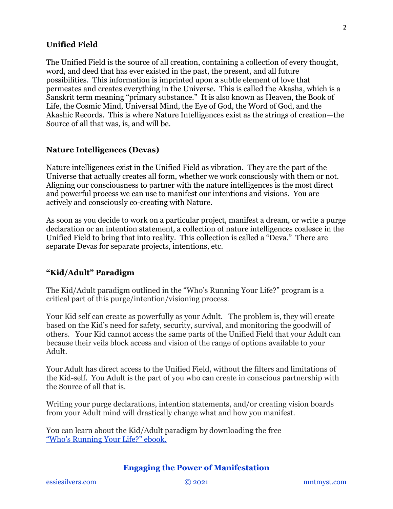#### **Unified Field**

The Unified Field is the source of all creation, containing a collection of every thought, word, and deed that has ever existed in the past, the present, and all future possibilities. This information is imprinted upon a subtle element of love that permeates and creates everything in the Universe. This is called the Akasha, which is a Sanskrit term meaning "primary substance." It is also known as Heaven, the Book of Life, the Cosmic Mind, Universal Mind, the Eye of God, the Word of God, and the Akashic Records. This is where Nature Intelligences exist as the strings of creation—the Source of all that was, is, and will be.

#### **Nature Intelligences (Devas)**

Nature intelligences exist in the Unified Field as vibration. They are the part of the Universe that actually creates all form, whether we work consciously with them or not. Aligning our consciousness to partner with the nature intelligences is the most direct and powerful process we can use to manifest our intentions and visions. You are actively and consciously co-creating with Nature.

As soon as you decide to work on a particular project, manifest a dream, or write a purge declaration or an intention statement, a collection of nature intelligences coalesce in the Unified Field to bring that into reality. This collection is called a "Deva." There are separate Devas for separate projects, intentions, etc.

#### **"Kid/Adult" Paradigm**

The Kid/Adult paradigm outlined in the "Who's Running Your Life?" program is a critical part of this purge/intention/visioning process.

Your Kid self can create as powerfully as your Adult. The problem is, they will create based on the Kid's need for safety, security, survival, and monitoring the goodwill of others. Your Kid cannot access the same parts of the Unified Field that your Adult can because their veils block access and vision of the range of options available to your Adult.

Your Adult has direct access to the Unified Field, without the filters and limitations of the Kid-self. You Adult is the part of you who can create in conscious partnership with the Source of all that is.

Writing your purge declarations, intention statements, and/or creating vision boards from your Adult mind will drastically change what and how you manifest.

You can learn about the Kid/Adult paradigm by downloading the free ["Who's Running Your Life?" ebook.](https://f7777caa-f8d5-45b2-8cbd-f5f9a50d32c0.filesusr.com/ugd/9c4125_7f8e048b513f4bce96dea266abd92052.pdf)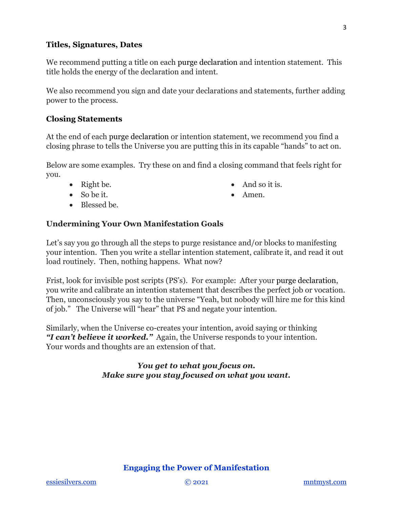#### **Titles, Signatures, Dates**

We recommend putting a title on each purge declaration and intention statement. This title holds the energy of the declaration and intent.

We also recommend you sign and date your declarations and statements, further adding power to the process.

#### **Closing Statements**

At the end of each purge declaration or intention statement, we recommend you find a closing phrase to tells the Universe you are putting this in its capable "hands" to act on.

Below are some examples. Try these on and find a closing command that feels right for you.

• And so it is.

• Amen.

- Right be.
- So be it.
- Blessed be.

### **Undermining Your Own Manifestation Goals**

Let's say you go through all the steps to purge resistance and/or blocks to manifesting your intention. Then you write a stellar intention statement, calibrate it, and read it out load routinely. Then, nothing happens. What now?

Frist, look for invisible post scripts (PS's). For example: After your purge declaration, you write and calibrate an intention statement that describes the perfect job or vocation. Then, unconsciously you say to the universe "Yeah, but nobody will hire me for this kind of job." The Universe will "hear" that PS and negate your intention.

Similarly, when the Universe co-creates your intention, avoid saying or thinking *"I can't believe it worked."* Again, the Universe responds to your intention. Your words and thoughts are an extension of that.

### *You get to what you focus on. Make sure you stay focused on what you want.*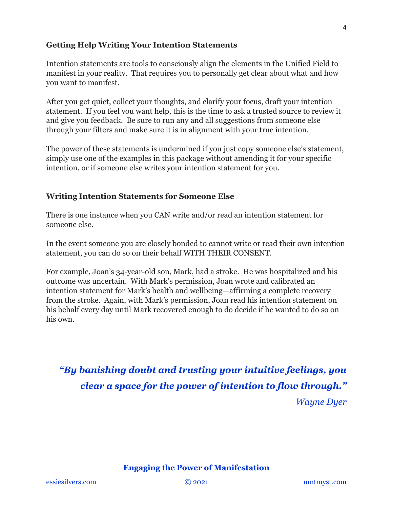### **Getting Help Writing Your Intention Statements**

Intention statements are tools to consciously align the elements in the Unified Field to manifest in your reality. That requires you to personally get clear about what and how you want to manifest.

After you get quiet, collect your thoughts, and clarify your focus, draft your intention statement. If you feel you want help, this is the time to ask a trusted source to review it and give you feedback. Be sure to run any and all suggestions from someone else through your filters and make sure it is in alignment with your true intention.

The power of these statements is undermined if you just copy someone else's statement, simply use one of the examples in this package without amending it for your specific intention, or if someone else writes your intention statement for you.

### **Writing Intention Statements for Someone Else**

There is one instance when you CAN write and/or read an intention statement for someone else.

In the event someone you are closely bonded to cannot write or read their own intention statement, you can do so on their behalf WITH THEIR CONSENT.

For example, Joan's 34-year-old son, Mark, had a stroke. He was hospitalized and his outcome was uncertain. With Mark's permission, Joan wrote and calibrated an intention statement for Mark's health and wellbeing—affirming a complete recovery from the stroke. Again, with Mark's permission, Joan read his intention statement on his behalf every day until Mark recovered enough to do decide if he wanted to do so on his own.

<span id="page-5-0"></span>*"By banishing doubt and trusting your intuitive feelings, you clear a space for the power of intention to flow through." Wayne Dyer*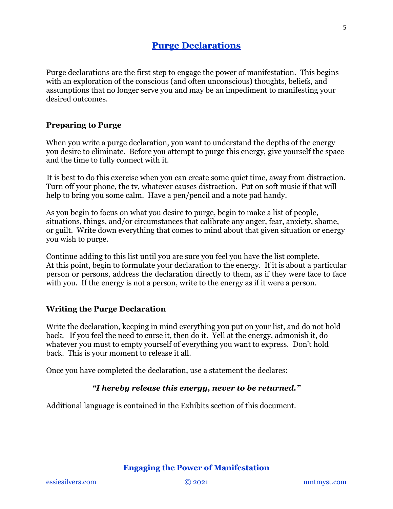### **[Purge Declarations](#page-5-0)**

Purge declarations are the first step to engage the power of manifestation. This begins with an exploration of the conscious (and often unconscious) thoughts, beliefs, and assumptions that no longer serve you and may be an impediment to manifesting your desired outcomes.

### **Preparing to Purge**

When you write a purge declaration, you want to understand the depths of the energy you desire to eliminate. Before you attempt to purge this energy, give yourself the space and the time to fully connect with it.

It is best to do this exercise when you can create some quiet time, away from distraction. Turn off your phone, the tv, whatever causes distraction. Put on soft music if that will help to bring you some calm. Have a pen/pencil and a note pad handy.

As you begin to focus on what you desire to purge, begin to make a list of people, situations, things, and/or circumstances that calibrate any anger, fear, anxiety, shame, or guilt. Write down everything that comes to mind about that given situation or energy you wish to purge.

Continue adding to this list until you are sure you feel you have the list complete. At this point, begin to formulate your declaration to the energy. If it is about a particular person or persons, address the declaration directly to them, as if they were face to face with you. If the energy is not a person, write to the energy as if it were a person.

### **Writing the Purge Declaration**

Write the declaration, keeping in mind everything you put on your list, and do not hold back. If you feel the need to curse it, then do it. Yell at the energy, admonish it, do whatever you must to empty yourself of everything you want to express. Don't hold back. This is your moment to release it all.

Once you have completed the declaration, use a statement the declares:

### *"I hereby release this energy, never to be returned."*

Additional language is contained in the Exhibits section of this document.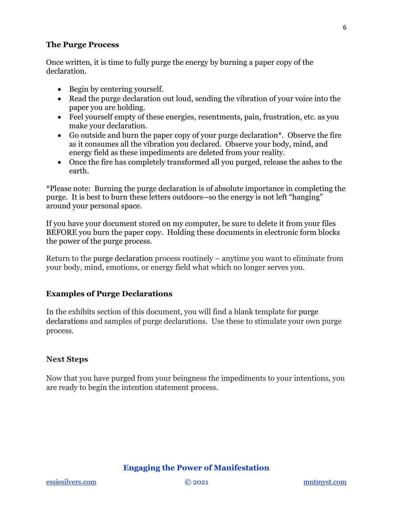#### **The Purge Process**

Once written, it is time to fully purge the energy by burning a paper copy of the declaration.

- Begin by centering yourself.
- Read the purge declaration out loud, sending the vibration of your voice into the paper you are holding.
- Feel yourself empty of these energies, resentments, pain, frustration, etc. as you make your declaration.
- Go outside and burn the paper copy of your purge declaration\*. Observe the fire as it consumes all the vibration you declared. Observe your body, mind, and energy field as these impediments are deleted from your reality.
- Once the fire has completely transformed all you purged, release the ashes to the earth.

\*Please note: Burning the purge declaration is of absolute importance in completing the purge. It is best to burn these letters outdoors--so the energy is not left "hanging" around your personal space.

If you have your document stored on my computer, be sure to delete it from your files BEFORE you burn the paper copy. Holding these documents in electronic form blocks the power of the purge process.

Return to the purge declaration process routinely – anytime you want to eliminate from your body, mind, emotions, or energy field what which no longer serves you.

### **Examples of Purge Declarations**

In the exhibits section of this document, you will find a blank template for purge declarations and samples of purge declarations. Use these to stimulate your own purge process.

### **Next Steps**

Now that you have purged from your beingness the impediments to your intentions, you are ready to begin the intention statement process.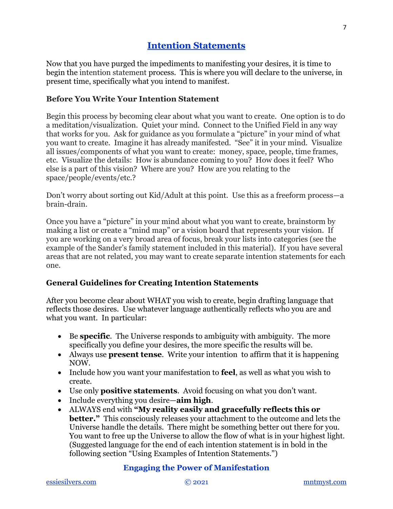### **[Intention Statements](#page-8-0)**

<span id="page-8-0"></span>Now that you have purged the impediments to manifesting your desires, it is time to begin the intention statement process. This is where you will declare to the universe, in present time, specifically what you intend to manifest.

### **Before You Write Your Intention Statement**

Begin this process by becoming clear about what you want to create. One option is to do a meditation/visualization. Quiet your mind. Connect to the Unified Field in any way that works for you. Ask for guidance as you formulate a "picture" in your mind of what you want to create. Imagine it has already manifested. "See" it in your mind. Visualize all issues/components of what you want to create: money, space, people, time frames, etc. Visualize the details: How is abundance coming to you? How does it feel? Who else is a part of this vision? Where are you? How are you relating to the space/people/events/etc.?

Don't worry about sorting out Kid/Adult at this point. Use this as a freeform process—a brain-drain.

Once you have a "picture" in your mind about what you want to create, brainstorm by making a list or create a "mind map" or a vision board that represents your vision. If you are working on a very broad area of focus, break your lists into categories (see the example of the Sander's family statement included in this material). If you have several areas that are not related, you may want to create separate intention statements for each one.

### **General Guidelines for Creating Intention Statements**

After you become clear about WHAT you wish to create, begin drafting language that reflects those desires. Use whatever language authentically reflects who you are and what you want. In particular:

- Be **specific**. The Universe responds to ambiguity with ambiguity. The more specifically you define your desires, the more specific the results will be.
- Always use **present tense**. Write your intention to affirm that it is happening NOW.
- Include how you want your manifestation to **feel**, as well as what you wish to create.
- Use only **positive statements**. Avoid focusing on what you don't want.
- Include everything you desire—**aim high**.
- ALWAYS end with **"My reality easily and gracefully reflects this or better."** This consciously releases your attachment to the outcome and lets the Universe handle the details. There might be something better out there for you. You want to free up the Universe to allow the flow of what is in your highest light. (Suggested language for the end of each intention statement is in bold in the following section "Using Examples of Intention Statements.")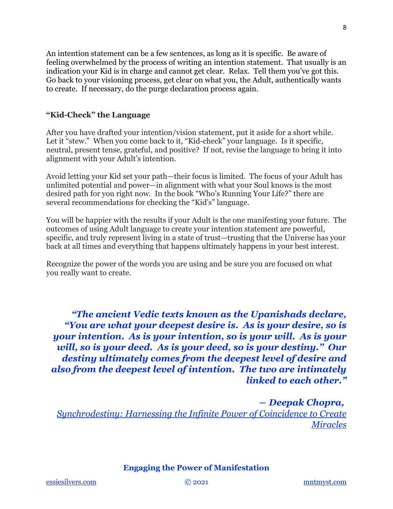An intention statement can be a few sentences, as long as it is specific. Be aware of feeling overwhelmed by the process of writing an intention statement. That usually is an indication your Kid is in charge and cannot get clear. Relax. Tell them you've got this. Go back to your visioning process, get clear on what you, the Adult, authentically wants to create. If necessary, do the purge declaration process again.

### **"Kid-Check" the Language**

After you have drafted your intention/vision statement, put it aside for a short while. Let it "stew." When you come back to it, "Kid-check" your language. Is it specific, neutral, present tense, grateful, and positive? If not, revise the language to bring it into alignment with your Adult's intention.

Avoid letting your Kid set your path—their focus is limited. The focus of your Adult has unlimited potential and power—in alignment with what your Soul knows is the most desired path for you right now. In the book "Who's Running Your Life?" there are several recommendations for checking the "Kid's" language.

You will be happier with the results if your Adult is the one manifesting your future. The outcomes of using Adult language to create your intention statement are powerful, specific, and truly represent living in a state of trust—trusting that the Universe has your back at all times and everything that happens ultimately happens in your best interest.

Recognize the power of the words you are using and be sure you are focused on what you really want to create.

*"The ancient Vedic texts known as the Upanishads declare, "You are what your deepest desire is. As is your desire, so is your intention. As is your intention, so is your will. As is your will, so is your deed. As is your deed, so is your destiny." Our destiny ultimately comes from the deepest level of desire and also from the deepest level of intention. The two are intimately linked to each other."*

*― Deepak Chopra, [Synchrodestiny: Harnessing the Infinite Power of Coincidence to Create](https://www.goodreads.com/work/quotes/310353)  [Miracles](https://www.goodreads.com/work/quotes/310353)*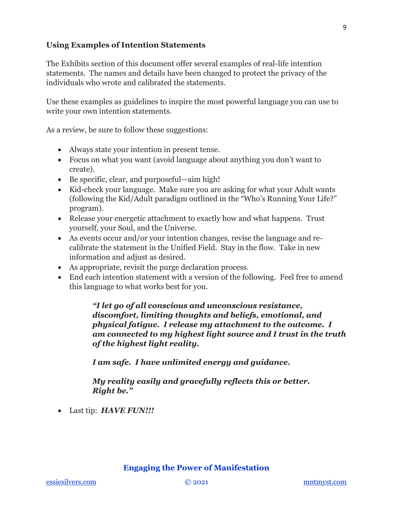### **Using Examples of Intention Statements**

The Exhibits section of this document offer several examples of real-life intention statements. The names and details have been changed to protect the privacy of the individuals who wrote and calibrated the statements.

Use these examples as guidelines to inspire the most powerful language you can use to write your own intention statements.

As a review, be sure to follow these suggestions:

- Always state your intention in present tense.
- Focus on what you want (avoid language about anything you don't want to create).
- Be specific, clear, and purposeful—aim high!
- Kid-check your language. Make sure you are asking for what your Adult wants (following the Kid/Adult paradigm outlined in the "Who's Running Your Life?" program).
- Release your energetic attachment to exactly how and what happens. Trust yourself, your Soul, and the Universe.
- As events occur and/or your intention changes, revise the language and recalibrate the statement in the Unified Field. Stay in the flow. Take in new information and adjust as desired.
- As appropriate, revisit the purge declaration process.
- End each intention statement with a version of the following. Feel free to amend this language to what works best for you.

*"I let go of all conscious and unconscious resistance, discomfort, limiting thoughts and beliefs, emotional, and physical fatigue. I release my attachment to the outcome. I am connected to my highest light source and I trust in the truth of the highest light reality.* 

*I am safe. I have unlimited energy and guidance.*

*My reality easily and gracefully reflects this or better. Right be."*

• Last tip: *HAVE FUN!!!*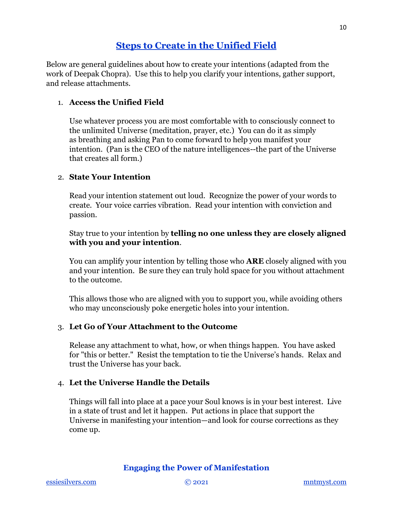### **[Steps to Create in the Unified Field](#page-11-0)**

<span id="page-11-0"></span>Below are general guidelines about how to create your intentions (adapted from the work of Deepak Chopra). Use this to help you clarify your intentions, gather support, and release attachments.

### 1. **Access the Unified Field**

Use whatever process you are most comfortable with to consciously connect to the unlimited Universe (meditation, prayer, etc.) You can do it as simply as breathing and asking Pan to come forward to help you manifest your intention. (Pan is the CEO of the nature intelligences--the part of the Universe that creates all form.)

### 2. **State Your Intention**

Read your intention statement out loud. Recognize the power of your words to create. Your voice carries vibration. Read your intention with conviction and passion.

Stay true to your intention by **telling no one unless they are closely aligned with you and your intention**.

You can amplify your intention by telling those who **ARE** closely aligned with you and your intention. Be sure they can truly hold space for you without attachment to the outcome.

This allows those who are aligned with you to support you, while avoiding others who may unconsciously poke energetic holes into your intention.

### 3. **Let Go of Your Attachment to the Outcome**

Release any attachment to what, how, or when things happen. You have asked for "this or better." Resist the temptation to tie the Universe's hands. Relax and trust the Universe has your back.

### 4. **Let the Universe Handle the Details**

Things will fall into place at a pace your Soul knows is in your best interest. Live in a state of trust and let it happen. Put actions in place that support the Universe in manifesting your intention—and look for course corrections as they come up.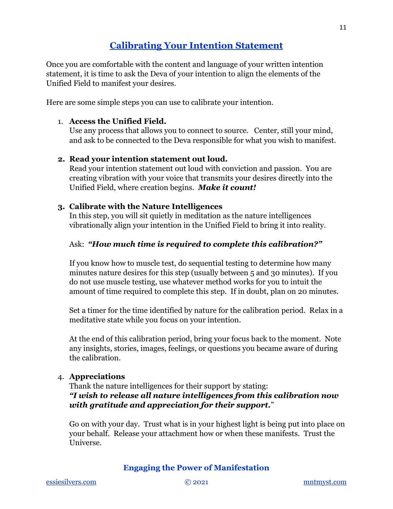### **[Calibrating Your Intention Statement](#page-12-0)**

<span id="page-12-0"></span>Once you are comfortable with the content and language of your written intention statement, it is time to ask the Deva of your intention to align the elements of the Unified Field to manifest your desires.

Here are some simple steps you can use to calibrate your intention.

### 1. **Access the Unified Field.**

Use any process that allows you to connect to source. Center, still your mind, and ask to be connected to the Deva responsible for what you wish to manifest.

#### **2. Read your intention statement out loud.**

Read your intention statement out loud with conviction and passion. You are creating vibration with your voice that transmits your desires directly into the Unified Field, where creation begins. *Make it count!*

#### **3. Calibrate with the Nature Intelligences**

In this step, you will sit quietly in meditation as the nature intelligences vibrationally align your intention in the Unified Field to bring it into reality.

### Ask: *"How much time is required to complete this calibration?"*

If you know how to muscle test, do sequential testing to determine how many minutes nature desires for this step (usually between 5 and 30 minutes). If you do not use muscle testing, use whatever method works for you to intuit the amount of time required to complete this step. If in doubt, plan on 20 minutes.

Set a timer for the time identified by nature for the calibration period. Relax in a meditative state while you focus on your intention.

At the end of this calibration period, bring your focus back to the moment. Note any insights, stories, images, feelings, or questions you became aware of during the calibration.

#### 4. **Appreciations**

Thank the nature intelligences for their support by stating: *"I wish to release all nature intelligences from this calibration now with gratitude and appreciation for their support.*"

Go on with your day. Trust what is in your highest light is being put into place on your behalf. Release your attachment how or when these manifests. Trust the Universe.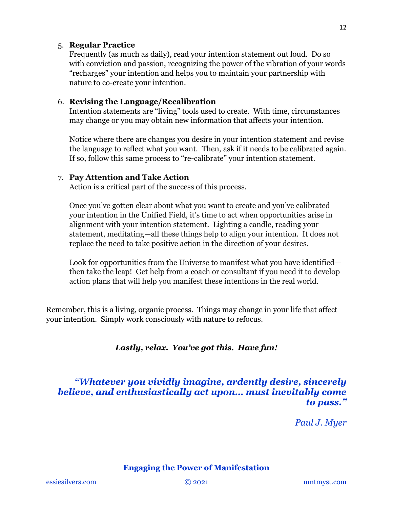#### 5. **Regular Practice**

Frequently (as much as daily), read your intention statement out loud. Do so with conviction and passion, recognizing the power of the vibration of your words "recharges" your intention and helps you to maintain your partnership with nature to co-create your intention.

### 6. **Revising the Language/Recalibration**

Intention statements are "living" tools used to create. With time, circumstances may change or you may obtain new information that affects your intention.

Notice where there are changes you desire in your intention statement and revise the language to reflect what you want. Then, ask if it needs to be calibrated again. If so, follow this same process to "re-calibrate" your intention statement.

#### 7. **Pay Attention and Take Action**

Action is a critical part of the success of this process.

Once you've gotten clear about what you want to create and you've calibrated your intention in the Unified Field, it's time to act when opportunities arise in alignment with your intention statement. Lighting a candle, reading your statement, meditating—all these things help to align your intention. It does not replace the need to take positive action in the direction of your desires.

Look for opportunities from the Universe to manifest what you have identified then take the leap! Get help from a coach or consultant if you need it to develop action plans that will help you manifest these intentions in the real world.

Remember, this is a living, organic process. Things may change in your life that affect your intention. Simply work consciously with nature to refocus.

### *Lastly, relax. You've got this. Have fun!*

### *"Whatever you vividly imagine, ardently desire, sincerely believe, and enthusiastically act upon… must inevitably come to pass."*

*Paul J. Myer*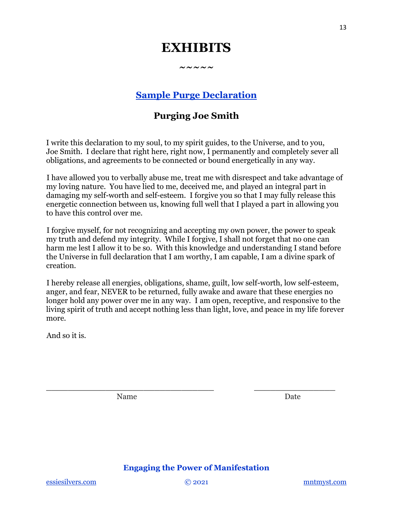## **EXHIBITS**

**~~~~~**

**[Sample Purge Declaration](#page-14-0)**

### **Purging Joe Smith**

<span id="page-14-0"></span>I write this declaration to my soul, to my spirit guides, to the Universe, and to you, Joe Smith. I declare that right here, right now, I permanently and completely sever all obligations, and agreements to be connected or bound energetically in any way.

I have allowed you to verbally abuse me, treat me with disrespect and take advantage of my loving nature. You have lied to me, deceived me, and played an integral part in damaging my self-worth and self-esteem. I forgive you so that I may fully release this energetic connection between us, knowing full well that I played a part in allowing you to have this control over me.

I forgive myself, for not recognizing and accepting my own power, the power to speak my truth and defend my integrity. While I forgive, I shall not forget that no one can harm me lest I allow it to be so. With this knowledge and understanding I stand before the Universe in full declaration that I am worthy, I am capable, I am a divine spark of creation.

I hereby release all energies, obligations, shame, guilt, low self-worth, low self-esteem, anger, and fear, NEVER to be returned, fully awake and aware that these energies no longer hold any power over me in any way. I am open, receptive, and responsive to the living spirit of truth and accept nothing less than light, love, and peace in my life forever more.

And so it is.

Name Date

### **Engaging the Power of Manifestation**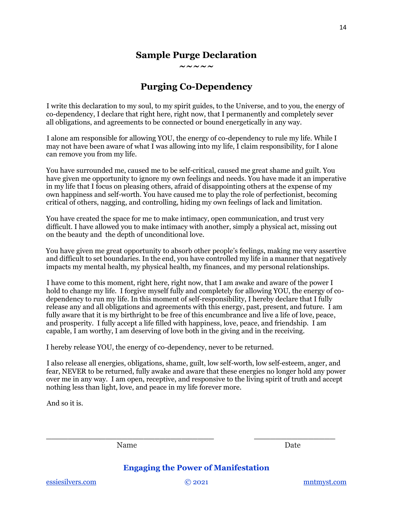#### **Sample Purge Declaration ~~~~~**

**Purging Co-Dependency**

I write this declaration to my soul, to my spirit guides, to the Universe, and to you, the energy of co-dependency, I declare that right here, right now, that I permanently and completely sever all obligations, and agreements to be connected or bound energetically in any way.

I alone am responsible for allowing YOU, the energy of co-dependency to rule my life. While I may not have been aware of what I was allowing into my life, I claim responsibility, for I alone can remove you from my life.

You have surrounded me, caused me to be self-critical, caused me great shame and guilt. You have given me opportunity to ignore my own feelings and needs. You have made it an imperative in my life that I focus on pleasing others, afraid of disappointing others at the expense of my own happiness and self-worth. You have caused me to play the role of perfectionist, becoming critical of others, nagging, and controlling, hiding my own feelings of lack and limitation.

You have created the space for me to make intimacy, open communication, and trust very difficult. I have allowed you to make intimacy with another, simply a physical act, missing out on the beauty and the depth of unconditional love.

You have given me great opportunity to absorb other people's feelings, making me very assertive and difficult to set boundaries. In the end, you have controlled my life in a manner that negatively impacts my mental health, my physical health, my finances, and my personal relationships.

I have come to this moment, right here, right now, that I am awake and aware of the power I hold to change my life. I forgive myself fully and completely for allowing YOU, the energy of codependency to run my life. In this moment of self-responsibility, I hereby declare that I fully release any and all obligations and agreements with this energy, past, present, and future. I am fully aware that it is my birthright to be free of this encumbrance and live a life of love, peace, and prosperity. I fully accept a life filled with happiness, love, peace, and friendship. I am capable, I am worthy, I am deserving of love both in the giving and in the receiving.

I hereby release YOU, the energy of co-dependency, never to be returned.

I also release all energies, obligations, shame, guilt, low self-worth, low self-esteem, anger, and fear, NEVER to be returned, fully awake and aware that these energies no longer hold any power over me in any way. I am open, receptive, and responsive to the living spirit of truth and accept nothing less than light, love, and peace in my life forever more.

And so it is.

Name Date

**Engaging the Power of Manifestation**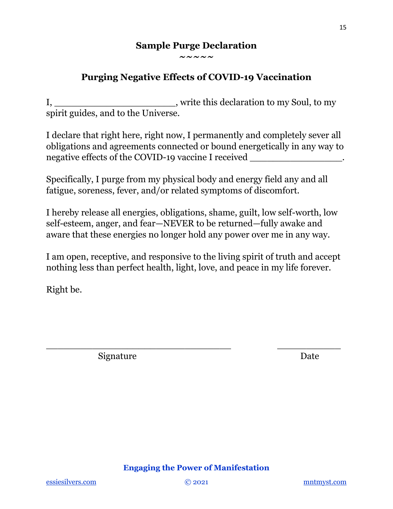### **Sample Purge Declaration ~~~~~**

### **Purging Negative Effects of COVID-19 Vaccination**

I, \_\_\_\_\_\_\_\_\_\_\_\_\_\_\_\_\_\_\_\_\_, write this declaration to my Soul, to my spirit guides, and to the Universe.

I declare that right here, right now, I permanently and completely sever all obligations and agreements connected or bound energetically in any way to negative effects of the COVID-19 vaccine I received

Specifically, I purge from my physical body and energy field any and all fatigue, soreness, fever, and/or related symptoms of discomfort.

I hereby release all energies, obligations, shame, guilt, low self-worth, low self-esteem, anger, and fear—NEVER to be returned—fully awake and aware that these energies no longer hold any power over me in any way.

I am open, receptive, and responsive to the living spirit of truth and accept nothing less than perfect health, light, love, and peace in my life forever.

\_\_\_\_\_\_\_\_\_\_\_\_\_\_\_\_\_\_\_\_\_\_\_\_\_\_\_\_\_\_\_\_ \_\_\_\_\_\_\_\_\_\_\_

Right be.

Signature Date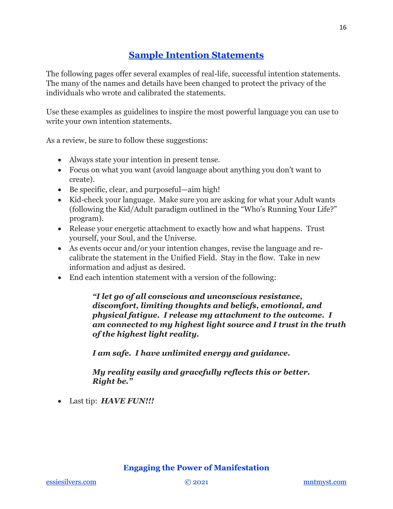### **[Sample Intention Statements](#page-17-0)**

<span id="page-17-0"></span>The following pages offer several examples of real-life, successful intention statements. The many of the names and details have been changed to protect the privacy of the individuals who wrote and calibrated the statements.

Use these examples as guidelines to inspire the most powerful language you can use to write your own intention statements.

As a review, be sure to follow these suggestions:

- Always state your intention in present tense.
- Focus on what you want (avoid language about anything you don't want to create).
- Be specific, clear, and purposeful—aim high!
- Kid-check your language. Make sure you are asking for what your Adult wants (following the Kid/Adult paradigm outlined in the "Who's Running Your Life?" program).
- Release your energetic attachment to exactly how and what happens. Trust yourself, your Soul, and the Universe.
- As events occur and/or your intention changes, revise the language and recalibrate the statement in the Unified Field. Stay in the flow. Take in new information and adjust as desired.
- End each intention statement with a version of the following:

*"I let go of all conscious and unconscious resistance, discomfort, limiting thoughts and beliefs, emotional, and physical fatigue. I release my attachment to the outcome. I am connected to my highest light source and I trust in the truth of the highest light reality.* 

*I am safe. I have unlimited energy and guidance.*

*My reality easily and gracefully reflects this or better. Right be."*

• Last tip: *HAVE FUN!!!*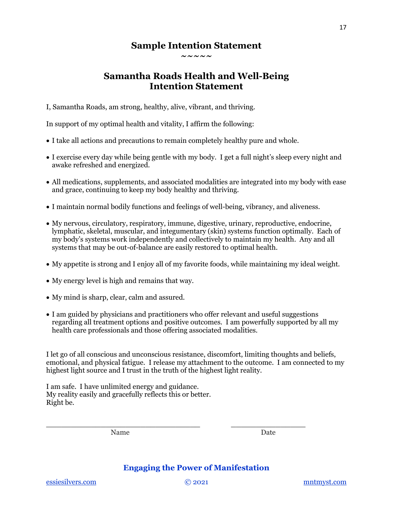### **Sample Intention Statement**

**~~~~~**

### **Samantha Roads Health and Well-Being Intention Statement**

I, Samantha Roads, am strong, healthy, alive, vibrant, and thriving.

In support of my optimal health and vitality, I affirm the following:

- I take all actions and precautions to remain completely healthy pure and whole.
- I exercise every day while being gentle with my body. I get a full night's sleep every night and awake refreshed and energized.
- All medications, supplements, and associated modalities are integrated into my body with ease and grace, continuing to keep my body healthy and thriving.
- I maintain normal bodily functions and feelings of well-being, vibrancy, and aliveness.
- My nervous, circulatory, respiratory, immune, digestive, urinary, reproductive, endocrine, lymphatic, skeletal, muscular, and integumentary (skin) systems function optimally. Each of my body's systems work independently and collectively to maintain my health. Any and all systems that may be out-of-balance are easily restored to optimal health.
- My appetite is strong and I enjoy all of my favorite foods, while maintaining my ideal weight.
- My energy level is high and remains that way.
- My mind is sharp, clear, calm and assured.
- I am guided by physicians and practitioners who offer relevant and useful suggestions regarding all treatment options and positive outcomes. I am powerfully supported by all my health care professionals and those offering associated modalities.

I let go of all conscious and unconscious resistance, discomfort, limiting thoughts and beliefs, emotional, and physical fatigue. I release my attachment to the outcome. I am connected to my highest light source and I trust in the truth of the highest light reality.

I am safe. I have unlimited energy and guidance. My reality easily and gracefully reflects this or better. Right be.

Name Date

### **Engaging the Power of Manifestation**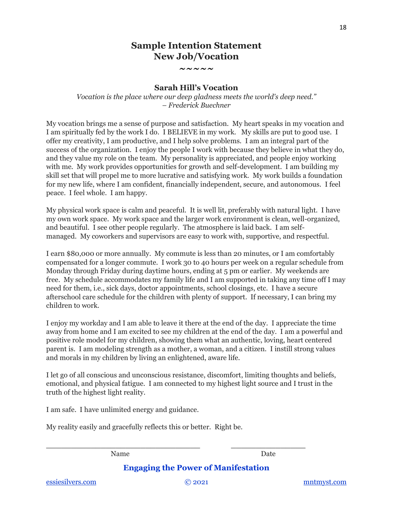### **Sample Intention Statement New Job/Vocation**

**~~~~~**

#### **Sarah Hill's Vocation**

*Vocation is the place where our deep gladness meets the world's deep need." – Frederick Buechner*

My vocation brings me a sense of purpose and satisfaction. My heart speaks in my vocation and I am spiritually fed by the work I do. I BELIEVE in my work. My skills are put to good use. I offer my creativity, I am productive, and I help solve problems. I am an integral part of the success of the organization. I enjoy the people I work with because they believe in what they do, and they value my role on the team. My personality is appreciated, and people enjoy working with me. My work provides opportunities for growth and self-development. I am building my skill set that will propel me to more lucrative and satisfying work. My work builds a foundation for my new life, where I am confident, financially independent, secure, and autonomous. I feel peace. I feel whole. I am happy.

My physical work space is calm and peaceful. It is well lit, preferably with natural light. I have my own work space. My work space and the larger work environment is clean, well-organized, and beautiful. I see other people regularly. The atmosphere is laid back. I am selfmanaged. My coworkers and supervisors are easy to work with, supportive, and respectful.

I earn \$80,000 or more annually. My commute is less than 20 minutes, or I am comfortably compensated for a longer commute. I work 30 to 40 hours per week on a regular schedule from Monday through Friday during daytime hours, ending at 5 pm or earlier. My weekends are free. My schedule accommodates my family life and I am supported in taking any time off I may need for them, i.e., sick days, doctor appointments, school closings, etc. I have a secure afterschool care schedule for the children with plenty of support. If necessary, I can bring my children to work.

I enjoy my workday and I am able to leave it there at the end of the day. I appreciate the time away from home and I am excited to see my children at the end of the day. I am a powerful and positive role model for my children, showing them what an authentic, loving, heart centered parent is. I am modeling strength as a mother, a woman, and a citizen. I instill strong values and morals in my children by living an enlightened, aware life.

I let go of all conscious and unconscious resistance, discomfort, limiting thoughts and beliefs, emotional, and physical fatigue. I am connected to my highest light source and I trust in the truth of the highest light reality.

I am safe. I have unlimited energy and guidance.

My reality easily and gracefully reflects this or better. Right be.

Name Date

**Engaging the Power of Manifestation**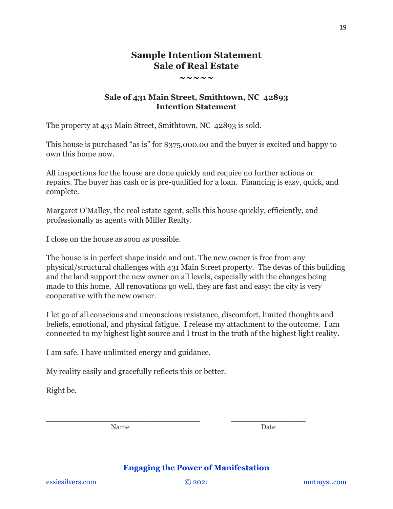### **Sample Intention Statement Sale of Real Estate**

**~~~~~**

### **Sale of 431 Main Street, Smithtown, NC 42893 Intention Statement**

The property at 431 Main Street, Smithtown, NC 42893 is sold.

This house is purchased "as is" for \$375,000.00 and the buyer is excited and happy to own this home now.

All inspections for the house are done quickly and require no further actions or repairs. The buyer has cash or is pre-qualified for a loan. Financing is easy, quick, and complete.

Margaret O'Malley, the real estate agent, sells this house quickly, efficiently, and professionally as agents with Miller Realty.

I close on the house as soon as possible.

The house is in perfect shape inside and out. The new owner is free from any physical/structural challenges with 431 Main Street property. The devas of this building and the land support the new owner on all levels, especially with the changes being made to this home. All renovations go well, they are fast and easy; the city is very cooperative with the new owner.

I let go of all conscious and unconscious resistance, discomfort, limited thoughts and beliefs, emotional, and physical fatigue. I release my attachment to the outcome. I am connected to my highest light source and I trust in the truth of the highest light reality.

I am safe. I have unlimited energy and guidance.

My reality easily and gracefully reflects this or better.

Right be.

Name Date

### **Engaging the Power of Manifestation**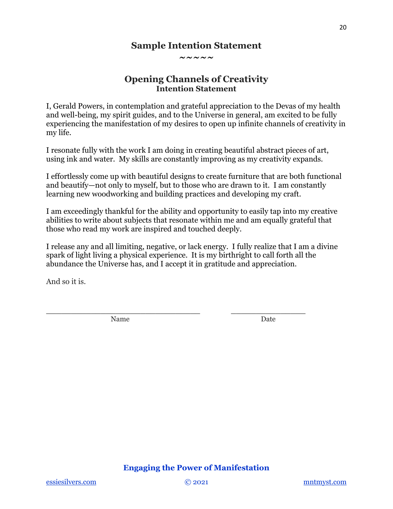### **Sample Intention Statement**

**~~~~~**

### **Opening Channels of Creativity Intention Statement**

I, Gerald Powers, in contemplation and grateful appreciation to the Devas of my health and well-being, my spirit guides, and to the Universe in general, am excited to be fully experiencing the manifestation of my desires to open up infinite channels of creativity in my life.

I resonate fully with the work I am doing in creating beautiful abstract pieces of art, using ink and water. My skills are constantly improving as my creativity expands.

I effortlessly come up with beautiful designs to create furniture that are both functional and beautify—not only to myself, but to those who are drawn to it. I am constantly learning new woodworking and building practices and developing my craft.

I am exceedingly thankful for the ability and opportunity to easily tap into my creative abilities to write about subjects that resonate within me and am equally grateful that those who read my work are inspired and touched deeply.

I release any and all limiting, negative, or lack energy. I fully realize that I am a divine spark of light living a physical experience. It is my birthright to call forth all the abundance the Universe has, and I accept it in gratitude and appreciation.

And so it is.

Name Date

**\_\_\_\_\_\_\_\_\_\_\_\_\_\_\_\_\_\_\_\_\_\_\_\_\_\_\_\_\_\_\_ \_\_\_\_\_\_\_\_\_\_\_\_\_\_\_**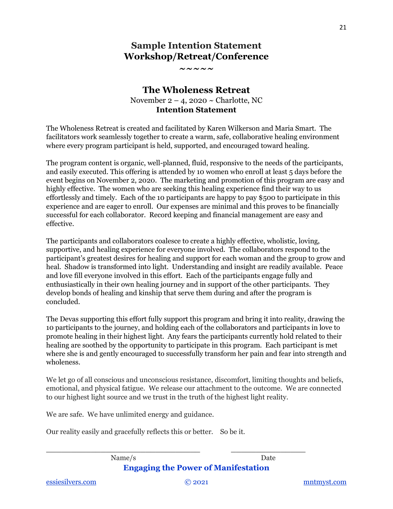### **Sample Intention Statement Workshop/Retreat/Conference**

**~~~~~**

### **The Wholeness Retreat** November  $2 - 4$ , 2020 ~ Charlotte, NC **Intention Statement**

The Wholeness Retreat is created and facilitated by Karen Wilkerson and Maria Smart. The facilitators work seamlessly together to create a warm, safe, collaborative healing environment where every program participant is held, supported, and encouraged toward healing.

The program content is organic, well-planned, fluid, responsive to the needs of the participants, and easily executed. This offering is attended by 10 women who enroll at least 5 days before the event begins on November 2, 2020. The marketing and promotion of this program are easy and highly effective. The women who are seeking this healing experience find their way to us effortlessly and timely. Each of the 10 participants are happy to pay \$500 to participate in this experience and are eager to enroll. Our expenses are minimal and this proves to be financially successful for each collaborator. Record keeping and financial management are easy and effective.

The participants and collaborators coalesce to create a highly effective, wholistic, loving, supportive, and healing experience for everyone involved. The collaborators respond to the participant's greatest desires for healing and support for each woman and the group to grow and heal. Shadow is transformed into light. Understanding and insight are readily available. Peace and love fill everyone involved in this effort. Each of the participants engage fully and enthusiastically in their own healing journey and in support of the other participants. They develop bonds of healing and kinship that serve them during and after the program is concluded.

The Devas supporting this effort fully support this program and bring it into reality, drawing the 10 participants to the journey, and holding each of the collaborators and participants in love to promote healing in their highest light. Any fears the participants currently hold related to their healing are soothed by the opportunity to participate in this program. Each participant is met where she is and gently encouraged to successfully transform her pain and fear into strength and wholeness.

We let go of all conscious and unconscious resistance, discomfort, limiting thoughts and beliefs, emotional, and physical fatigue. We release our attachment to the outcome. We are connected to our highest light source and we trust in the truth of the highest light reality.

We are safe. We have unlimited energy and guidance.

Our reality easily and gracefully reflects this or better. So be it.

**Engaging the Power of Manifestation** Name/s Date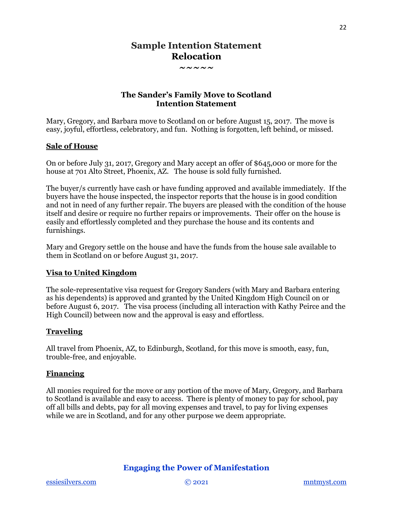### **Sample Intention Statement Relocation**

**~~~~~**

### **The Sander's Family Move to Scotland Intention Statement**

Mary, Gregory, and Barbara move to Scotland on or before August 15, 2017. The move is easy, joyful, effortless, celebratory, and fun. Nothing is forgotten, left behind, or missed.

### **Sale of House**

On or before July 31, 2017, Gregory and Mary accept an offer of \$645,000 or more for the house at 701 Alto Street, Phoenix, AZ. The house is sold fully furnished.

The buyer/s currently have cash or have funding approved and available immediately. If the buyers have the house inspected, the inspector reports that the house is in good condition and not in need of any further repair. The buyers are pleased with the condition of the house itself and desire or require no further repairs or improvements. Their offer on the house is easily and effortlessly completed and they purchase the house and its contents and furnishings.

Mary and Gregory settle on the house and have the funds from the house sale available to them in Scotland on or before August 31, 2017.

### **Visa to United Kingdom**

The sole-representative visa request for Gregory Sanders (with Mary and Barbara entering as his dependents) is approved and granted by the United Kingdom High Council on or before August 6, 2017. The visa process (including all interaction with Kathy Peirce and the High Council) between now and the approval is easy and effortless.

#### **Traveling**

All travel from Phoenix, AZ, to Edinburgh, Scotland, for this move is smooth, easy, fun, trouble-free, and enjoyable.

#### **Financing**

All monies required for the move or any portion of the move of Mary, Gregory, and Barbara to Scotland is available and easy to access. There is plenty of money to pay for school, pay off all bills and debts, pay for all moving expenses and travel, to pay for living expenses while we are in Scotland, and for any other purpose we deem appropriate.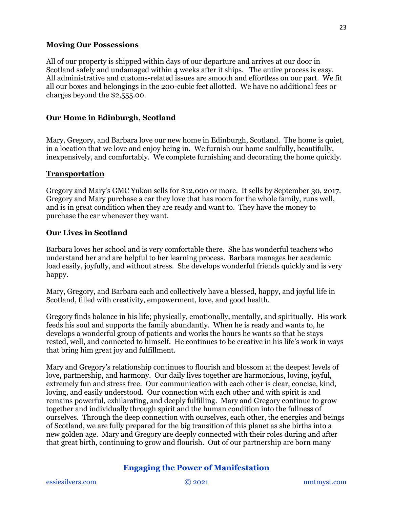#### **Moving Our Possessions**

All of our property is shipped within days of our departure and arrives at our door in Scotland safely and undamaged within 4 weeks after it ships. The entire process is easy. All administrative and customs-related issues are smooth and effortless on our part. We fit all our boxes and belongings in the 200-cubic feet allotted. We have no additional fees or charges beyond the \$2,555.00.

#### **Our Home in Edinburgh, Scotland**

Mary, Gregory, and Barbara love our new home in Edinburgh, Scotland. The home is quiet, in a location that we love and enjoy being in. We furnish our home soulfully, beautifully, inexpensively, and comfortably. We complete furnishing and decorating the home quickly.

#### **Transportation**

Gregory and Mary's GMC Yukon sells for \$12,000 or more. It sells by September 30, 2017. Gregory and Mary purchase a car they love that has room for the whole family, runs well, and is in great condition when they are ready and want to. They have the money to purchase the car whenever they want.

#### **Our Lives in Scotland**

Barbara loves her school and is very comfortable there. She has wonderful teachers who understand her and are helpful to her learning process. Barbara manages her academic load easily, joyfully, and without stress. She develops wonderful friends quickly and is very happy.

Mary, Gregory, and Barbara each and collectively have a blessed, happy, and joyful life in Scotland, filled with creativity, empowerment, love, and good health.

Gregory finds balance in his life; physically, emotionally, mentally, and spiritually. His work feeds his soul and supports the family abundantly. When he is ready and wants to, he develops a wonderful group of patients and works the hours he wants so that he stays rested, well, and connected to himself. He continues to be creative in his life's work in ways that bring him great joy and fulfillment.

Mary and Gregory's relationship continues to flourish and blossom at the deepest levels of love, partnership, and harmony. Our daily lives together are harmonious, loving, joyful, extremely fun and stress free. Our communication with each other is clear, concise, kind, loving, and easily understood. Our connection with each other and with spirit is and remains powerful, exhilarating, and deeply fulfilling. Mary and Gregory continue to grow together and individually through spirit and the human condition into the fullness of ourselves. Through the deep connection with ourselves, each other, the energies and beings of Scotland, we are fully prepared for the big transition of this planet as she births into a new golden age. Mary and Gregory are deeply connected with their roles during and after that great birth, continuing to grow and flourish. Out of our partnership are born many

### **Engaging the Power of Manifestation**

23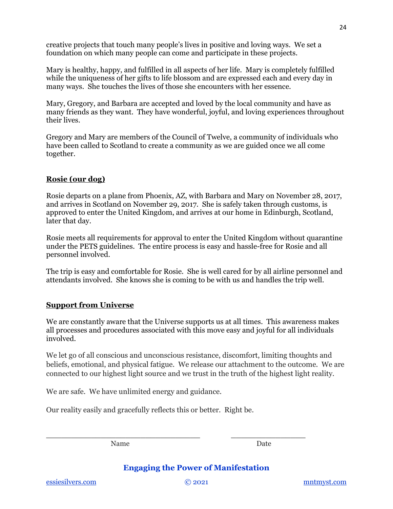creative projects that touch many people's lives in positive and loving ways. We set a foundation on which many people can come and participate in these projects.

Mary is healthy, happy, and fulfilled in all aspects of her life. Mary is completely fulfilled while the uniqueness of her gifts to life blossom and are expressed each and every day in many ways. She touches the lives of those she encounters with her essence.

Mary, Gregory, and Barbara are accepted and loved by the local community and have as many friends as they want. They have wonderful, joyful, and loving experiences throughout their lives.

Gregory and Mary are members of the Council of Twelve, a community of individuals who have been called to Scotland to create a community as we are guided once we all come together.

### **Rosie (our dog)**

Rosie departs on a plane from Phoenix, AZ, with Barbara and Mary on November 28, 2017, and arrives in Scotland on November 29, 2017. She is safely taken through customs, is approved to enter the United Kingdom, and arrives at our home in Edinburgh, Scotland, later that day.

Rosie meets all requirements for approval to enter the United Kingdom without quarantine under the PETS guidelines. The entire process is easy and hassle-free for Rosie and all personnel involved.

The trip is easy and comfortable for Rosie. She is well cared for by all airline personnel and attendants involved. She knows she is coming to be with us and handles the trip well.

#### **Support from Universe**

We are constantly aware that the Universe supports us at all times. This awareness makes all processes and procedures associated with this move easy and joyful for all individuals involved.

We let go of all conscious and unconscious resistance, discomfort, limiting thoughts and beliefs, emotional, and physical fatigue. We release our attachment to the outcome. We are connected to our highest light source and we trust in the truth of the highest light reality.

We are safe. We have unlimited energy and guidance.

Our reality easily and gracefully reflects this or better. Right be.

Name Date

**Engaging the Power of Manifestation**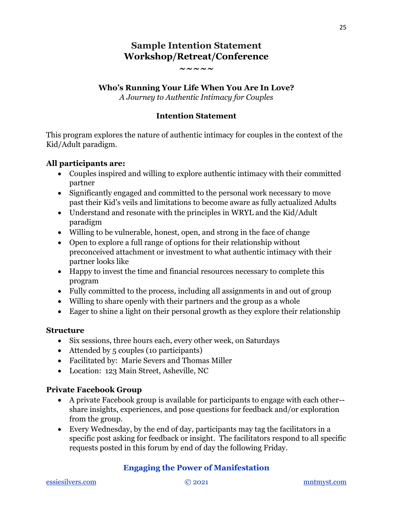### **Sample Intention Statement Workshop/Retreat/Conference**

#### **~~~~~**

### **Who's Running Your Life When You Are In Love?**

*A Journey to Authentic Intimacy for Couples*

### **Intention Statement**

This program explores the nature of authentic intimacy for couples in the context of the Kid/Adult paradigm.

### **All participants are:**

- Couples inspired and willing to explore authentic intimacy with their committed partner
- Significantly engaged and committed to the personal work necessary to move past their Kid's veils and limitations to become aware as fully actualized Adults
- Understand and resonate with the principles in WRYL and the Kid/Adult paradigm
- Willing to be vulnerable, honest, open, and strong in the face of change
- Open to explore a full range of options for their relationship without preconceived attachment or investment to what authentic intimacy with their partner looks like
- Happy to invest the time and financial resources necessary to complete this program
- Fully committed to the process, including all assignments in and out of group
- Willing to share openly with their partners and the group as a whole
- Eager to shine a light on their personal growth as they explore their relationship

### **Structure**

- Six sessions, three hours each, every other week, on Saturdays
- Attended by 5 couples (10 participants)
- Facilitated by: Marie Severs and Thomas Miller
- Location: 123 Main Street, Asheville, NC

### **Private Facebook Group**

- A private Facebook group is available for participants to engage with each other- share insights, experiences, and pose questions for feedback and/or exploration from the group.
- Every Wednesday, by the end of day, participants may tag the facilitators in a specific post asking for feedback or insight. The facilitators respond to all specific requests posted in this forum by end of day the following Friday.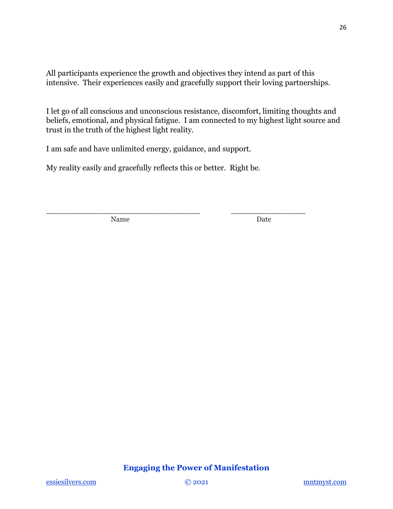All participants experience the growth and objectives they intend as part of this intensive. Their experiences easily and gracefully support their loving partnerships.

I let go of all conscious and unconscious resistance, discomfort, limiting thoughts and beliefs, emotional, and physical fatigue. I am connected to my highest light source and trust in the truth of the highest light reality.

I am safe and have unlimited energy, guidance, and support.

My reality easily and gracefully reflects this or better. Right be.

**\_\_\_\_\_\_\_\_\_\_\_\_\_\_\_\_\_\_\_\_\_\_\_\_\_\_\_\_\_\_\_ \_\_\_\_\_\_\_\_\_\_\_\_\_\_\_**

Name Date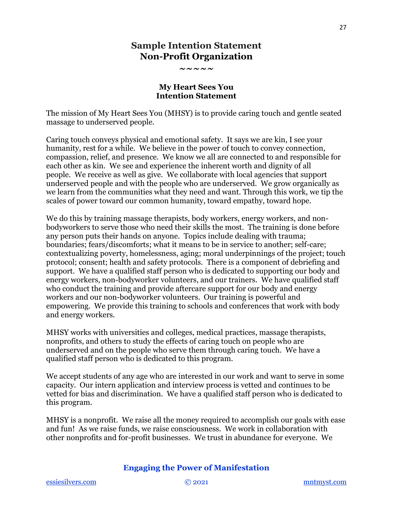### **Sample Intention Statement Non-Profit Organization**

**~~~~~**

#### **My Heart Sees You Intention Statement**

The mission of My Heart Sees You (MHSY) is to provide caring touch and gentle seated massage to underserved people.

Caring touch conveys physical and emotional safety. It says we are kin, I see your humanity, rest for a while. We believe in the power of touch to convey connection, compassion, relief, and presence. We know we all are connected to and responsible for each other as kin. We see and experience the inherent worth and dignity of all people. We receive as well as give. We collaborate with local agencies that support underserved people and with the people who are underserved. We grow organically as we learn from the communities what they need and want. Through this work, we tip the scales of power toward our common humanity, toward empathy, toward hope.

We do this by training massage therapists, body workers, energy workers, and nonbodyworkers to serve those who need their skills the most. The training is done before any person puts their hands on anyone. Topics include dealing with trauma; boundaries; fears/discomforts; what it means to be in service to another; self-care; contextualizing poverty, homelessness, aging; moral underpinnings of the project; touch protocol; consent; health and safety protocols. There is a component of debriefing and support. We have a qualified staff person who is dedicated to supporting our body and energy workers, non-bodyworker volunteers, and our trainers. We have qualified staff who conduct the training and provide aftercare support for our body and energy workers and our non-bodyworker volunteers. Our training is powerful and empowering. We provide this training to schools and conferences that work with body and energy workers.

MHSY works with universities and colleges, medical practices, massage therapists, nonprofits, and others to study the effects of caring touch on people who are underserved and on the people who serve them through caring touch. We have a qualified staff person who is dedicated to this program.

We accept students of any age who are interested in our work and want to serve in some capacity. Our intern application and interview process is vetted and continues to be vetted for bias and discrimination. We have a qualified staff person who is dedicated to this program.

MHSY is a nonprofit. We raise all the money required to accomplish our goals with ease and fun! As we raise funds, we raise consciousness. We work in collaboration with other nonprofits and for-profit businesses. We trust in abundance for everyone. We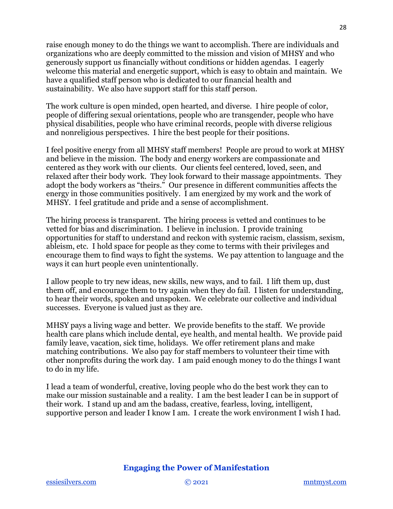raise enough money to do the things we want to accomplish. There are individuals and organizations who are deeply committed to the mission and vision of MHSY and who generously support us financially without conditions or hidden agendas. I eagerly welcome this material and energetic support, which is easy to obtain and maintain. We have a qualified staff person who is dedicated to our financial health and sustainability. We also have support staff for this staff person.

The work culture is open minded, open hearted, and diverse. I hire people of color, people of differing sexual orientations, people who are transgender, people who have physical disabilities, people who have criminal records, people with diverse religious and nonreligious perspectives. I hire the best people for their positions.

I feel positive energy from all MHSY staff members! People are proud to work at MHSY and believe in the mission. The body and energy workers are compassionate and centered as they work with our clients. Our clients feel centered, loved, seen, and relaxed after their body work. They look forward to their massage appointments. They adopt the body workers as "theirs." Our presence in different communities affects the energy in those communities positively. I am energized by my work and the work of MHSY. I feel gratitude and pride and a sense of accomplishment.

The hiring process is transparent. The hiring process is vetted and continues to be vetted for bias and discrimination. I believe in inclusion. I provide training opportunities for staff to understand and reckon with systemic racism, classism, sexism, ableism, etc. I hold space for people as they come to terms with their privileges and encourage them to find ways to fight the systems. We pay attention to language and the ways it can hurt people even unintentionally.

I allow people to try new ideas, new skills, new ways, and to fail. I lift them up, dust them off, and encourage them to try again when they do fail. I listen for understanding, to hear their words, spoken and unspoken. We celebrate our collective and individual successes. Everyone is valued just as they are.

MHSY pays a living wage and better. We provide benefits to the staff. We provide health care plans which include dental, eye health, and mental health. We provide paid family leave, vacation, sick time, holidays. We offer retirement plans and make matching contributions. We also pay for staff members to volunteer their time with other nonprofits during the work day. I am paid enough money to do the things I want to do in my life.

I lead a team of wonderful, creative, loving people who do the best work they can to make our mission sustainable and a reality. I am the best leader I can be in support of their work. I stand up and am the badass, creative, fearless, loving, intelligent, supportive person and leader I know I am. I create the work environment I wish I had.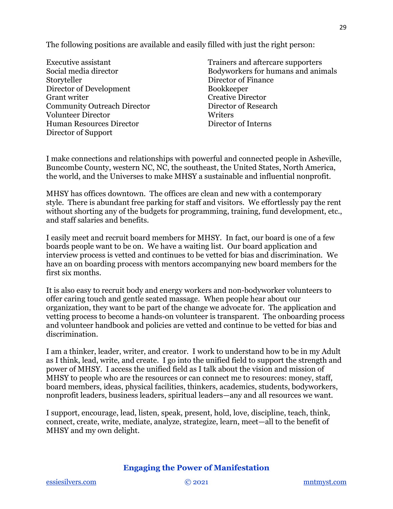The following positions are available and easily filled with just the right person:

Executive assistant Social media director Storyteller Director of Development Grant writer Community Outreach Director Volunteer Director Human Resources Director Director of Support

Trainers and aftercare supporters Bodyworkers for humans and animals Director of Finance Bookkeeper Creative Director Director of Research **Writers** Director of Interns

I make connections and relationships with powerful and connected people in Asheville, Buncombe County, western NC, NC, the southeast, the United States, North America, the world, and the Universes to make MHSY a sustainable and influential nonprofit.

MHSY has offices downtown. The offices are clean and new with a contemporary style. There is abundant free parking for staff and visitors. We effortlessly pay the rent without shorting any of the budgets for programming, training, fund development, etc., and staff salaries and benefits.

I easily meet and recruit board members for MHSY. In fact, our board is one of a few boards people want to be on. We have a waiting list. Our board application and interview process is vetted and continues to be vetted for bias and discrimination. We have an on boarding process with mentors accompanying new board members for the first six months.

It is also easy to recruit body and energy workers and non-bodyworker volunteers to offer caring touch and gentle seated massage. When people hear about our organization, they want to be part of the change we advocate for. The application and vetting process to become a hands-on volunteer is transparent. The onboarding process and volunteer handbook and policies are vetted and continue to be vetted for bias and discrimination.

I am a thinker, leader, writer, and creator. I work to understand how to be in my Adult as I think, lead, write, and create. I go into the unified field to support the strength and power of MHSY. I access the unified field as I talk about the vision and mission of MHSY to people who are the resources or can connect me to resources: money, staff, board members, ideas, physical facilities, thinkers, academics, students, bodyworkers, nonprofit leaders, business leaders, spiritual leaders—any and all resources we want.

I support, encourage, lead, listen, speak, present, hold, love, discipline, teach, think, connect, create, write, mediate, analyze, strategize, learn, meet—all to the benefit of MHSY and my own delight.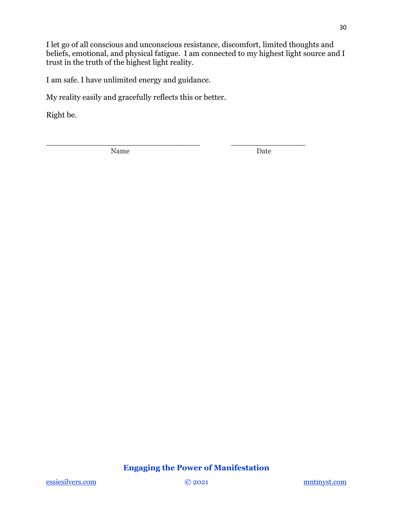I let go of all conscious and unconscious resistance, discomfort, limited thoughts and beliefs, emotional, and physical fatigue. I am connected to my highest light source and I trust in the truth of the highest light reality.

**\_\_\_\_\_\_\_\_\_\_\_\_\_\_\_\_\_\_\_\_\_\_\_\_\_\_\_\_\_\_\_ \_\_\_\_\_\_\_\_\_\_\_\_\_\_\_**

I am safe. I have unlimited energy and guidance.

My reality easily and gracefully reflects this or better.

Right be.

Name Date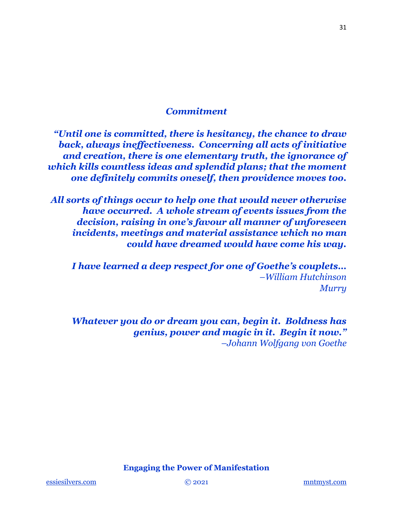### *Commitment*

*"Until one is committed, there is hesitancy, the chance to draw back, always ineffectiveness. Concerning all acts of initiative and creation, there is one elementary truth, the ignorance of which kills countless ideas and splendid plans; that the moment one definitely commits oneself, then providence moves too.*

*All sorts of things occur to help one that would never otherwise have occurred. A whole stream of events issues from the decision, raising in one's favour all manner of unforeseen incidents, meetings and material assistance which no man could have dreamed would have come his way.* 

*I have learned a deep respect for one of Goethe's couplets… –William Hutchinson Murry*

*Whatever you do or dream you can, begin it. Boldness has genius, power and magic in it. Begin it now." –Johann Wolfgang von Goethe*